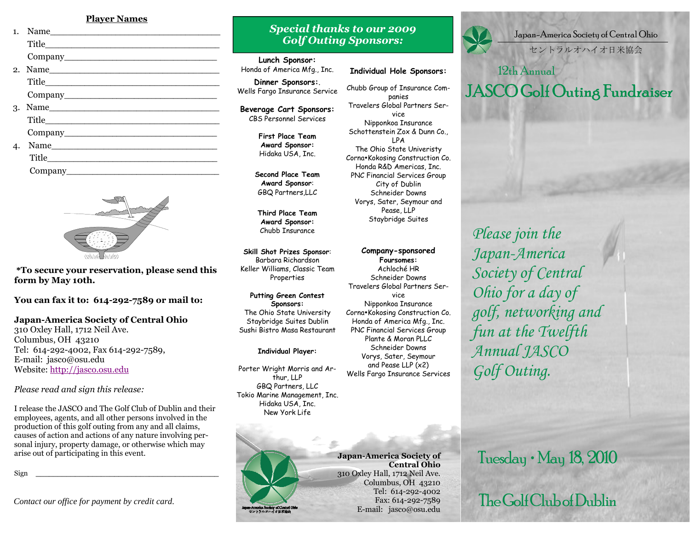#### **Player Names**

| $\mathbf{1}$ . | Name    |  |
|----------------|---------|--|
|                |         |  |
|                |         |  |
|                | 2. Name |  |
|                |         |  |
|                |         |  |
|                | 3. Name |  |
|                |         |  |
|                |         |  |
|                | Name    |  |
|                |         |  |
|                |         |  |
|                |         |  |



**\*To secure your reservation, please send this form by May 10th.** 

**You can fax it to: 614-292-7589 or mail to:** 

# **Japan-America Society of Central Ohio**

310 Oxley Hall, 1712 Neil Ave. Columbus, OH 43210 Tel: 614-292-4002, Fax 614-292-7589, E-mail: jasco@osu.edu Website: <u>http://jasco.osu.edu</u>

*Please read and sign this release:* 

I release the JASCO and The Golf Club of Dublin and their employees, agents, and all other persons involved in the production of this golf outing from any and all claims, causes of action and actions of any nature involving personal injury, property damage, or otherwise which may arise out of participating in this event.

Sign \_\_\_\_\_\_\_\_\_\_\_\_\_\_\_\_\_\_\_\_\_\_\_\_\_\_\_\_\_\_\_\_\_\_\_\_\_\_\_\_\_\_

*Contact our office for payment by credit card.* 

# *Special thanks to our 2009 Golf Outing Sponsors:*

**Lunch Sponsor:** 

Honda of America Mfg., Inc.

**Dinner Sponsors:**. Wells Fargo Insurance Service

**Beverage Cart Sponsors:** CBS Personnel Services

> **First Place Team Award Sponsor:** Hidaka USA, Inc.

**Second Place Team Award Sponsor**: GBQ Partners,LLC

**Third Place Team Award Sponsor:** Chubb Insurance

**Skill Shot Prizes Sponsor**: Barbara Richardson Keller Williams, Classic Team Properties

**Putting Green Contest Sponsors:**  The Ohio State University Staybridge Suites Dublin Sushi Bistro Masa Restaurant

#### **Individual Player:**

Porter Wright Morris and Arthur, LLP GBQ Partners, LLC Tokio Marine Management, Inc. Hidaka USA, Inc. New York Life



**Company-sponsored Foursomes:**  Achloché HR Schneider Downs Travelers Global Partners Service Nipponkoa Insurance Corna•Kokosing Construction Co. Honda of America Mfg., Inc. PNC Financial Services Group Plante & Moran PLLC Schneider Downs Vorys, Sater, Seymour and Pease LLP (x2) Wells Fargo Insurance Services



Japan-America Society of Central Ohio

セントラルオハイオ日米協会

# 12th Annual JASCO Golf Outing Fundraiser

*Please join the Japan-America Society of Central Ohio for a day of golf, networking and fun at the Twelfth Annual JASCO Golf Outing.*

su-America Society of Central O<br>- セントラルオハイオ日米協会

**Japan-America Society of Central Ohio**  310 Oxley Hall, 1712 Neil Ave. Columbus, OH 43210 Tel: 614-292-4002 Fax: 614-292-7589 E-mail: jasco@osu.edu Tuesday • May 18, 2010

The Golf Club of Dublin